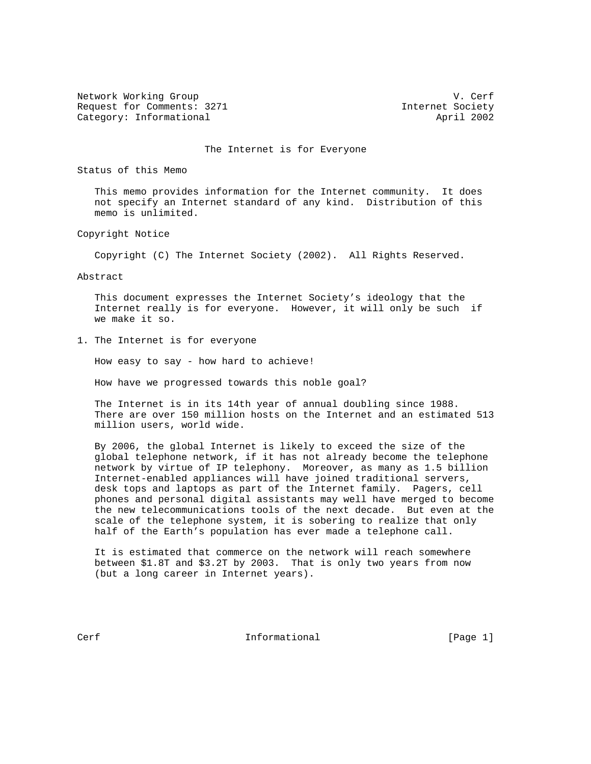Network Working Group van de verfanging van de verfanging van de verfanging van de verfanging van de verfanging van de verfanging van de verfanging van de verfanging van de verfanging van de verfanging van de verfanging va Request for Comments: 3271 Internet Society Category: Informational and April 2002

The Internet is for Everyone

Status of this Memo

 This memo provides information for the Internet community. It does not specify an Internet standard of any kind. Distribution of this memo is unlimited.

Copyright Notice

Copyright (C) The Internet Society (2002). All Rights Reserved.

Abstract

 This document expresses the Internet Society's ideology that the Internet really is for everyone. However, it will only be such if we make it so.

1. The Internet is for everyone

How easy to say - how hard to achieve!

How have we progressed towards this noble goal?

 The Internet is in its 14th year of annual doubling since 1988. There are over 150 million hosts on the Internet and an estimated 513 million users, world wide.

 By 2006, the global Internet is likely to exceed the size of the global telephone network, if it has not already become the telephone network by virtue of IP telephony. Moreover, as many as 1.5 billion Internet-enabled appliances will have joined traditional servers, desk tops and laptops as part of the Internet family. Pagers, cell phones and personal digital assistants may well have merged to become the new telecommunications tools of the next decade. But even at the scale of the telephone system, it is sobering to realize that only half of the Earth's population has ever made a telephone call.

 It is estimated that commerce on the network will reach somewhere between \$1.8T and \$3.2T by 2003. That is only two years from now (but a long career in Internet years).

Cerf **Informational** Informational [Page 1]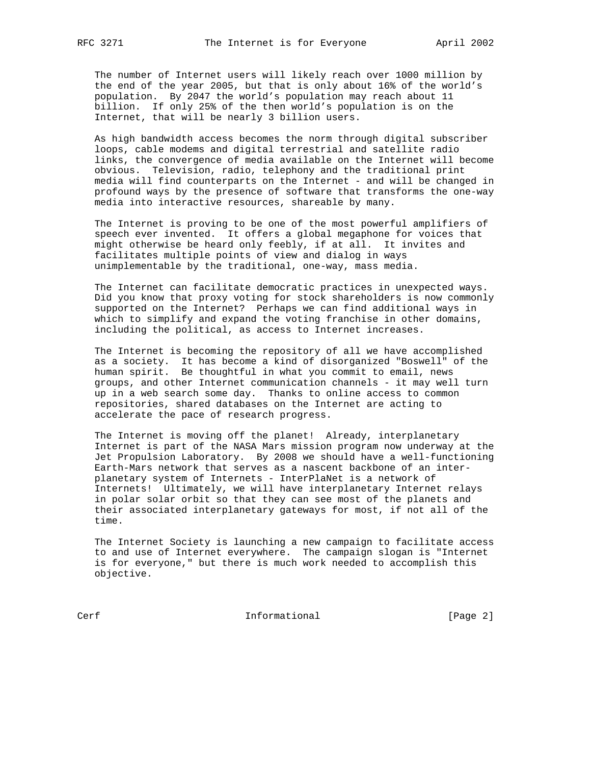The number of Internet users will likely reach over 1000 million by the end of the year 2005, but that is only about 16% of the world's population. By 2047 the world's population may reach about 11 billion. If only 25% of the then world's population is on the Internet, that will be nearly 3 billion users.

 As high bandwidth access becomes the norm through digital subscriber loops, cable modems and digital terrestrial and satellite radio links, the convergence of media available on the Internet will become obvious. Television, radio, telephony and the traditional print media will find counterparts on the Internet - and will be changed in profound ways by the presence of software that transforms the one-way media into interactive resources, shareable by many.

 The Internet is proving to be one of the most powerful amplifiers of speech ever invented. It offers a global megaphone for voices that might otherwise be heard only feebly, if at all. It invites and facilitates multiple points of view and dialog in ways unimplementable by the traditional, one-way, mass media.

 The Internet can facilitate democratic practices in unexpected ways. Did you know that proxy voting for stock shareholders is now commonly supported on the Internet? Perhaps we can find additional ways in which to simplify and expand the voting franchise in other domains, including the political, as access to Internet increases.

 The Internet is becoming the repository of all we have accomplished as a society. It has become a kind of disorganized "Boswell" of the human spirit. Be thoughtful in what you commit to email, news groups, and other Internet communication channels - it may well turn up in a web search some day. Thanks to online access to common repositories, shared databases on the Internet are acting to accelerate the pace of research progress.

The Internet is moving off the planet! Already, interplanetary Internet is part of the NASA Mars mission program now underway at the Jet Propulsion Laboratory. By 2008 we should have a well-functioning Earth-Mars network that serves as a nascent backbone of an inter planetary system of Internets - InterPlaNet is a network of Internets! Ultimately, we will have interplanetary Internet relays in polar solar orbit so that they can see most of the planets and their associated interplanetary gateways for most, if not all of the time.

 The Internet Society is launching a new campaign to facilitate access to and use of Internet everywhere. The campaign slogan is "Internet is for everyone," but there is much work needed to accomplish this objective.

Cerf Cerf Informational [Page 2]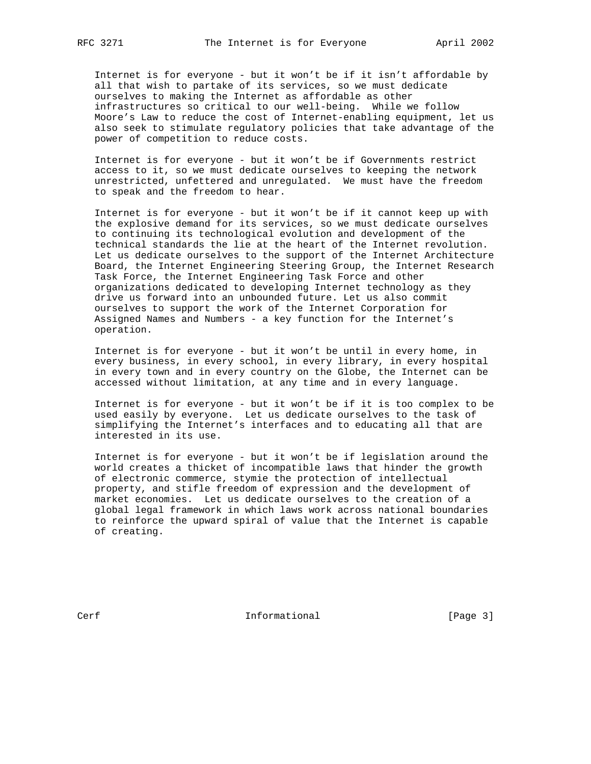Internet is for everyone - but it won't be if it isn't affordable by all that wish to partake of its services, so we must dedicate ourselves to making the Internet as affordable as other infrastructures so critical to our well-being. While we follow Moore's Law to reduce the cost of Internet-enabling equipment, let us also seek to stimulate regulatory policies that take advantage of the power of competition to reduce costs.

 Internet is for everyone - but it won't be if Governments restrict access to it, so we must dedicate ourselves to keeping the network unrestricted, unfettered and unregulated. We must have the freedom to speak and the freedom to hear.

 Internet is for everyone - but it won't be if it cannot keep up with the explosive demand for its services, so we must dedicate ourselves to continuing its technological evolution and development of the technical standards the lie at the heart of the Internet revolution. Let us dedicate ourselves to the support of the Internet Architecture Board, the Internet Engineering Steering Group, the Internet Research Task Force, the Internet Engineering Task Force and other organizations dedicated to developing Internet technology as they drive us forward into an unbounded future. Let us also commit ourselves to support the work of the Internet Corporation for Assigned Names and Numbers - a key function for the Internet's operation.

 Internet is for everyone - but it won't be until in every home, in every business, in every school, in every library, in every hospital in every town and in every country on the Globe, the Internet can be accessed without limitation, at any time and in every language.

 Internet is for everyone - but it won't be if it is too complex to be used easily by everyone. Let us dedicate ourselves to the task of simplifying the Internet's interfaces and to educating all that are interested in its use.

 Internet is for everyone - but it won't be if legislation around the world creates a thicket of incompatible laws that hinder the growth of electronic commerce, stymie the protection of intellectual property, and stifle freedom of expression and the development of market economies. Let us dedicate ourselves to the creation of a global legal framework in which laws work across national boundaries to reinforce the upward spiral of value that the Internet is capable of creating.

Cerf **Informational** [Page 3]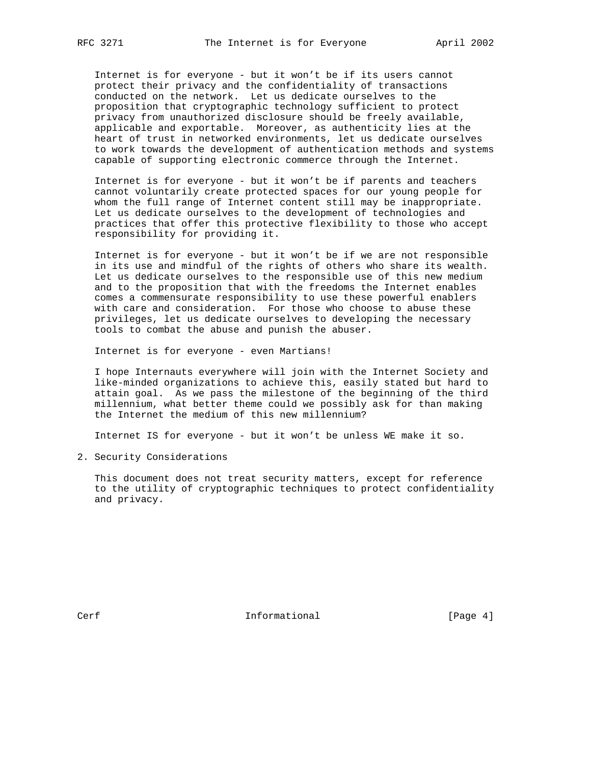Internet is for everyone - but it won't be if its users cannot protect their privacy and the confidentiality of transactions conducted on the network. Let us dedicate ourselves to the proposition that cryptographic technology sufficient to protect privacy from unauthorized disclosure should be freely available, applicable and exportable. Moreover, as authenticity lies at the heart of trust in networked environments, let us dedicate ourselves to work towards the development of authentication methods and systems capable of supporting electronic commerce through the Internet.

 Internet is for everyone - but it won't be if parents and teachers cannot voluntarily create protected spaces for our young people for whom the full range of Internet content still may be inappropriate. Let us dedicate ourselves to the development of technologies and practices that offer this protective flexibility to those who accept responsibility for providing it.

 Internet is for everyone - but it won't be if we are not responsible in its use and mindful of the rights of others who share its wealth. Let us dedicate ourselves to the responsible use of this new medium and to the proposition that with the freedoms the Internet enables comes a commensurate responsibility to use these powerful enablers with care and consideration. For those who choose to abuse these privileges, let us dedicate ourselves to developing the necessary tools to combat the abuse and punish the abuser.

Internet is for everyone - even Martians!

 I hope Internauts everywhere will join with the Internet Society and like-minded organizations to achieve this, easily stated but hard to attain goal. As we pass the milestone of the beginning of the third millennium, what better theme could we possibly ask for than making the Internet the medium of this new millennium?

Internet IS for everyone - but it won't be unless WE make it so.

2. Security Considerations

 This document does not treat security matters, except for reference to the utility of cryptographic techniques to protect confidentiality and privacy.

Cerf **Informational** [Page 4]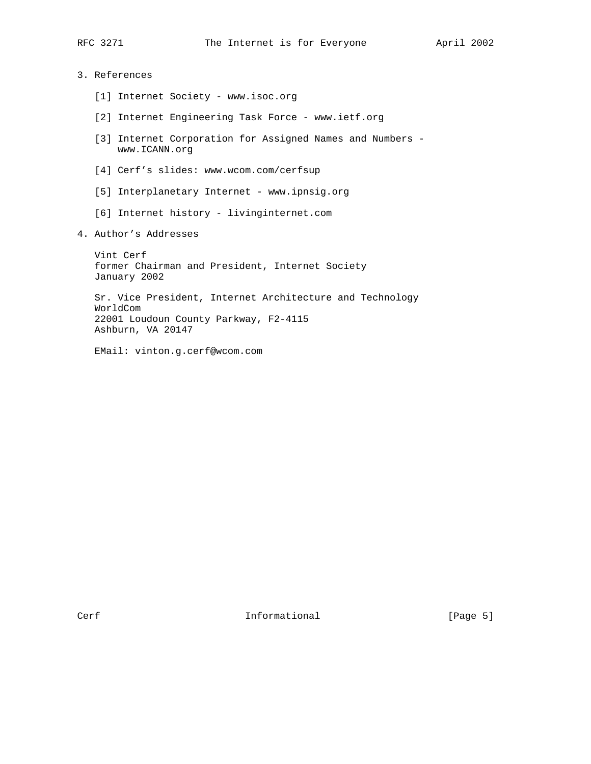## 3. References

- [1] Internet Society www.isoc.org
- [2] Internet Engineering Task Force www.ietf.org
- [3] Internet Corporation for Assigned Names and Numbers www.ICANN.org
- [4] Cerf's slides: www.wcom.com/cerfsup
- [5] Interplanetary Internet www.ipnsig.org
- [6] Internet history livinginternet.com
- 4. Author's Addresses

 Vint Cerf former Chairman and President, Internet Society January 2002

 Sr. Vice President, Internet Architecture and Technology WorldCom 22001 Loudoun County Parkway, F2-4115 Ashburn, VA 20147

EMail: vinton.g.cerf@wcom.com

Cerf **Informational** [Page 5]